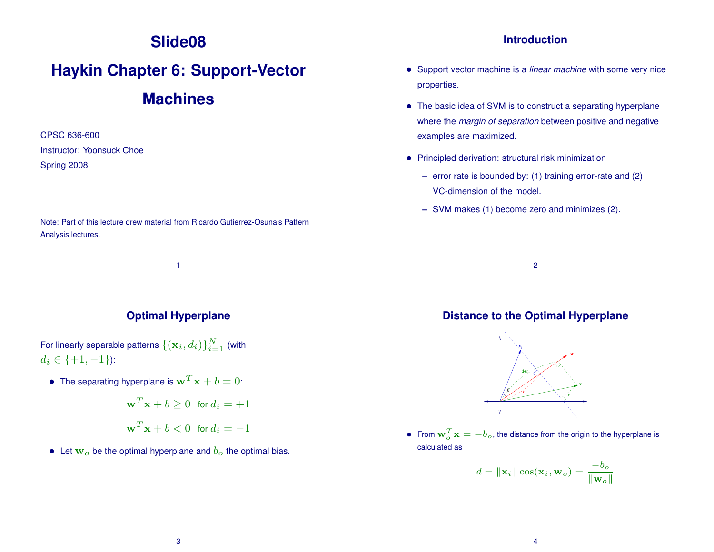# **Slide08**

# **Haykin Chapter 6: Support-Vector Machines**

CPSC 636-600 Instructor: Yoonsuck Choe Spring 2008

Note: Part of this lecture drew material from Ricardo Gutierrez-Osuna's Pattern Analysis lectures.

1

**Optimal Hyperplane**

For linearly separable patterns  $\{(\mathbf{x}_i, d_i)\}_{i=1}^N$  (with  $d_i \in \{+1, -1\}$ :

- $\bullet~$  The separating hyperplane is  ${\bf w}^T{\bf x}+b=0$ :
	- $\mathbf{w}^T \mathbf{x} + b \geq 0$  for  $d_i = +1$  $\mathbf{w}^T \mathbf{x} + b < 0$  for  $d_i = -1$
- Let  $w<sub>o</sub>$  be the optimal hyperplane and  $b<sub>o</sub>$  the optimal bias.

#### **Introduction**

- Support vector machine is a *linear machine* with some very nice properties.
- The basic idea of SVM is to construct a separating hyperplane where the *margin of separation* between positive and negative examples are maximized.
- Principled derivation: structural risk minimization
	- **–** error rate is bounded by: (1) training error-rate and (2) VC-dimension of the model.
	- **–** SVM makes (1) become zero and minimizes (2).

2

#### **Distance to the Optimal Hyperplane**



• From  $\mathbf{w}_o^T \mathbf{x} = -b_o$ , the distance from the origin to the hyperplane is calculated as

$$
d = \|\mathbf{x}_i\| \cos(\mathbf{x}_i, \mathbf{w}_o) = \frac{-b_o}{\|\mathbf{w}_o\|}
$$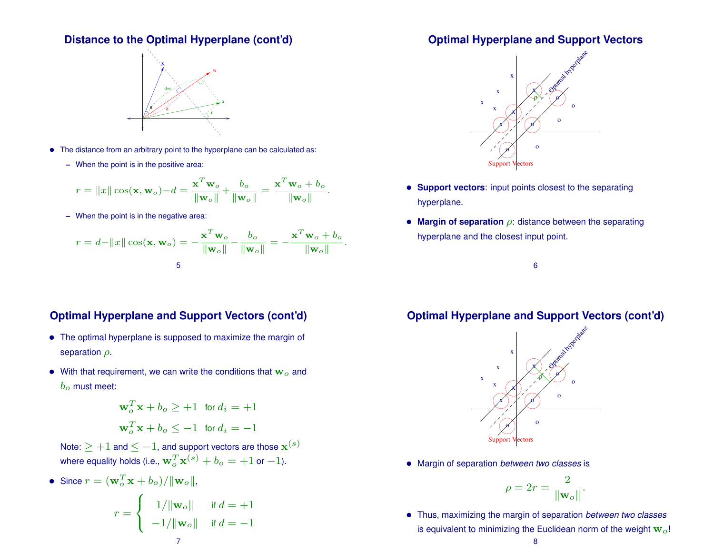#### **Distance to the Optimal Hyperplane (cont'd)**



- The distance from an arbitrary point to the hyperplane can be calculated as:
	- **–** When the point is in the positive area:

$$
r = ||x|| \cos(\mathbf{x}, \mathbf{w}_o) - d = \frac{\mathbf{x}^T \mathbf{w}_o}{||\mathbf{w}_o||} + \frac{b_o}{||\mathbf{w}_o||} = \frac{\mathbf{x}^T \mathbf{w}_o + b_o}{||\mathbf{w}_o||}.
$$

**–** When the point is in the negative area:

$$
r = d - ||x|| \cos(\mathbf{x}, \mathbf{w}_o) = -\frac{\mathbf{x}^T \mathbf{w}_o}{||\mathbf{w}_o||} - \frac{b_o}{||\mathbf{w}_o||} = -\frac{\mathbf{x}^T \mathbf{w}_o + b_o}{||\mathbf{w}_o||}.
$$

### **Optimal Hyperplane and Support Vectors (cont'd)**

- The optimal hyperplane is supposed to maximize the margin of separation  $\rho$ .
- With that requirement, we can write the conditions that  $w<sub>o</sub>$  and  $b<sub>o</sub>$  must meet:

$$
\mathbf{w}_o^T \mathbf{x} + b_o \ge +1 \quad \text{for } d_i = +1
$$
  

$$
\mathbf{w}_o^T \mathbf{x} + b_o \le -1 \quad \text{for } d_i = -1
$$

- Note:  $\ge +1$  and  $\le -1$ , and support vectors are those  $\mathbf{x}^{(s)}$ where equality holds (i.e.,  $\mathbf{w}_o^T\mathbf{x}^{(s)}+b_o=+1$  or  $-1$ ).
- Since  $r = (\mathbf{w}_o^T \mathbf{x} + b_o) / ||\mathbf{w}_o||$ ,

$$
r = \begin{cases} 1/\|\mathbf{w}_o\| & \text{if } d = +1 \\ -1/\|\mathbf{w}_o\| & \text{if } d = -1 \end{cases}
$$

#### **Optimal Hyperplane and Support Vectors**



- **Support vectors**: input points closest to the separating hyperplane.
- **Margin of separation** ρ: distance between the separating hyperplane and the closest input point.

6

## **Optimal Hyperplane and Support Vectors (cont'd)**



• Margin of separation *between two classes* is

$$
\rho = 2r = \frac{2}{\|\mathbf{w}_o\|}.
$$

• Thus, maximizing the margin of separation *between two classes* is equivalent to minimizing the Euclidean norm of the weight  $w<sub>o</sub>!$ 

#### 8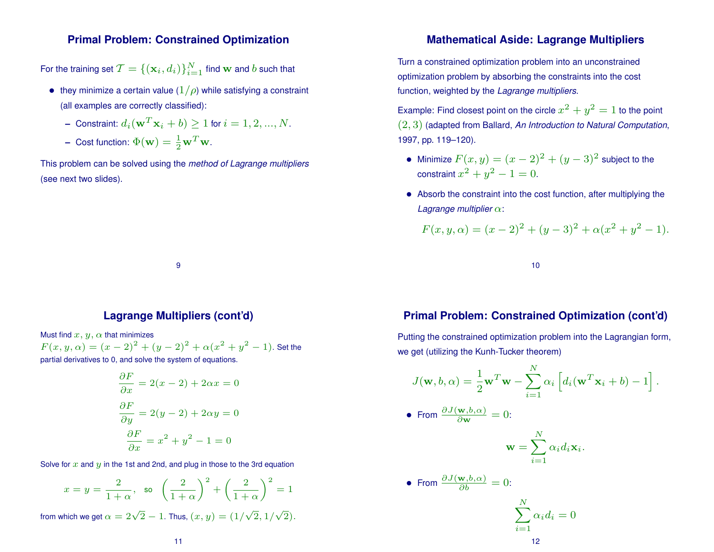#### **Primal Problem: Constrained Optimization**

For the training set  $\mathcal{T} = \{(\mathbf{x}_i, d_i)\}_{i=1}^N$  find  $\mathbf{w}$  and  $b$  such that

- they minimize a certain value  $(1/\rho)$  while satisfying a constraint (all examples are correctly classified):
	- $\hbox{\texttt{--}}$  Constraint:  $d_i(\mathbf{w}^T\mathbf{x}_i+b) \geq 1$  for  $i=1,2,...,N.$
	- **–** Cost function:  $\Phi(\mathbf{w}) = \frac{1}{2} \mathbf{w}^T \mathbf{w}$ .

This problem can be solved using the *method of Lagrange multipliers* (see next two slides).

#### **Mathematical Aside: Lagrange Multipliers**

Turn a constrained optimization problem into an unconstrained optimization problem by absorbing the constraints into the cost function, weighted by the *Lagrange multipliers*.

Example: Find closest point on the circle  $x^2 + y^2 = 1$  to the point (2, 3) (adapted from Ballard, *An Introduction to Natural Computation*, 1997, pp. 119–120).

- Minimize  $F(x,y) = (x-2)^2 + (y-3)^2$  subject to the constraint  $x^2 + y^2 - 1 = 0$ .
- Absorb the constraint into the cost function, after multiplying the *Lagrange multiplier* α:

$$
F(x, y, \alpha) = (x - 2)^{2} + (y - 3)^{2} + \alpha(x^{2} + y^{2} - 1).
$$

10

#### **Lagrange Multipliers (cont'd)**

9

Must find  $x, y, \alpha$  that minimizes  $F(x,y,\alpha) = (x-2)^2 + (y-2)^2 + \alpha(x^2+y^2-1)$ . Set the partial derivatives to 0, and solve the system of equations.

$$
\frac{\partial F}{\partial x} = 2(x - 2) + 2\alpha x = 0
$$

$$
\frac{\partial F}{\partial y} = 2(y - 2) + 2\alpha y = 0
$$

$$
\frac{\partial F}{\partial x} = x^2 + y^2 - 1 = 0
$$

Solve for  $x$  and  $y$  in the 1st and 2nd, and plug in those to the 3rd equation

$$
x = y = \frac{2}{1+\alpha}, \text{ so } \left(\frac{2}{1+\alpha}\right)^2 + \left(\frac{2}{1+\alpha}\right)^2 = 1
$$
  
from which we get  $\alpha = 2\sqrt{2} - 1$ . Thus,  $(x, y) = (1/\sqrt{2}, 1/\sqrt{2})$ .

#### **Primal Problem: Constrained Optimization (cont'd)**

Putting the constrained optimization problem into the Lagrangian form, we get (utilizing the Kunh-Tucker theorem)

$$
J(\mathbf{w}, b, \alpha) = \frac{1}{2} \mathbf{w}^T \mathbf{w} - \sum_{i=1}^N \alpha_i \left[ d_i (\mathbf{w}^T \mathbf{x}_i + b) - 1 \right].
$$
  
• From  $\frac{\partial J(\mathbf{w}, b, \alpha)}{\partial \mathbf{w}} = 0$ :

$$
\mathbf{w} = \sum_{i=1}^N \alpha_i d_i \mathbf{x}_i.
$$

• From 
$$
\frac{\partial J(\mathbf{w},b,\alpha)}{\partial b} = 0
$$
:

$$
\sum_{i=1}^{N} \alpha_i d_i = 0
$$
12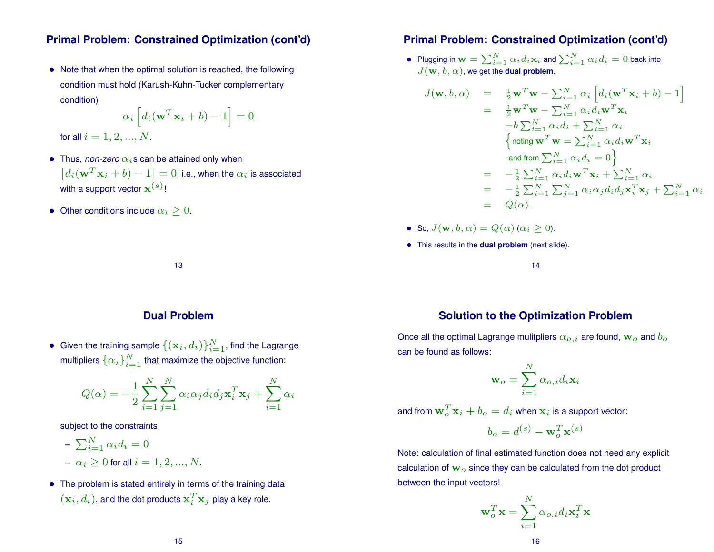#### **Primal Problem: Constrained Optimization (cont'd)**

• Note that when the optimal solution is reached, the following condition must hold (Karush-Kuhn-Tucker complementary condition)

$$
\alpha_i \left[ d_i(\mathbf{w}^T \mathbf{x}_i + b) - 1 \right] = 0
$$

for all  $i = 1, 2, ..., N$ .

- Thus, *non-zero*  $\alpha_i$ s can be attained only when  $\left[ d_i({\bf w}^T{\bf x}_i+b)-1\right]=0$ , i.e., when the  $\alpha_i$  is associated with a support vector  $\mathbf{x}^{(s)}$ !
- Other conditions include  $\alpha_i > 0$ .

#### **Primal Problem: Constrained Optimization (cont'd)**

 $\bullet~$  Plugging in  ${\bf w}=\sum_{i=1}^N \alpha_i d_i {\bf x}_i$  and  $\sum_{i=1}^N \alpha_i d_i=0$  back into  $J(\mathbf{w}, b, \alpha)$ , we get the **dual problem**.

$$
\begin{array}{rcl}\n\text{(b, }\alpha) & = & \frac{1}{2}\mathbf{w}^T\mathbf{w} - \sum_{i=1}^N \alpha_i \left[ d_i(\mathbf{w}^T\mathbf{x}_i + b) - 1 \right] \\
& = & \frac{1}{2}\mathbf{w}^T\mathbf{w} - \sum_{i=1}^N \alpha_i d_i \mathbf{w}^T\mathbf{x}_i \\
& -b \sum_{i=1}^N \alpha_i d_i + \sum_{i=1}^N \alpha_i \\
& \begin{cases}\n\text{noting } \mathbf{w}^T\mathbf{w} = \sum_{i=1}^N \alpha_i d_i \mathbf{w}^T\mathbf{x}_i \\
\text{and from } \sum_{i=1}^N \alpha_i d_i = 0\n\end{cases} \\
& = & -\frac{1}{2} \sum_{i=1}^N \alpha_i d_i \mathbf{w}^T\mathbf{x}_i + \sum_{i=1}^N \alpha_i \\
& = & -\frac{1}{2} \sum_{i=1}^N \sum_{j=1}^N \alpha_i \alpha_j d_i d_j \mathbf{x}_i^T\mathbf{x}_j + \sum_{i=1}^N \alpha_i \\
& = & Q(\alpha).\n\end{array}
$$

• So,  $J(\mathbf{w}, b, \alpha) = Q(\alpha) (\alpha_i \geq 0)$ .

 $J({\bf w}$ 

• This results in the **dual problem** (next slide).

14

#### **Dual Problem**

13

 $\bullet~$  Given the training sample  $\{(\mathbf{x}_i, d_i)\}_{i=1}^N,$  find the Lagrange multipliers  $\{\alpha_i\}_{i=1}^N$  that maximize the objective function:

$$
Q(\alpha) = -\frac{1}{2} \sum_{i=1}^{N} \sum_{j=1}^{N} \alpha_i \alpha_j d_i d_j \mathbf{x}_i^T \mathbf{x}_j + \sum_{i=1}^{N} \alpha_i
$$

subject to the constraints

$$
- \sum_{i=1}^{N} \alpha_i d_i = 0
$$

- $-\alpha_i > 0$  for all  $i = 1, 2, ..., N$ .
- The problem is stated entirely in terms of the training data  $(\mathbf{x}_i, d_i)$ , and the dot products  $\mathbf{x}_i^T$  $_{i}^{T}\mathbf{x}_{j}$  play a key role.

#### **Solution to the Optimization Problem**

Once all the optimal Lagrange mulitpliers  $\alpha_{o,i}$  are found,  $\mathbf{w}_o$  and  $b_o$ can be found as follows:

$$
\mathbf{w}_o = \sum_{i=1}^N \alpha_{o,i} d_i \mathbf{x}_i
$$

and from  $\mathbf{w}_o^T\mathbf{x}_i + b_o = d_i$  when  $\mathbf{x}_i$  is a support vector:

$$
b_o = d^{(s)} - \mathbf{w}_o^T \mathbf{x}^{(s)}
$$

Note: calculation of final estimated function does not need any explicit calculation of  $w<sub>o</sub>$  since they can be calculated from the dot product between the input vectors!

N

$$
\mathbf{w}_o^T \mathbf{x} = \sum_{i=1}^N \alpha_{o,i} d_i \mathbf{x}_i^T \mathbf{x}
$$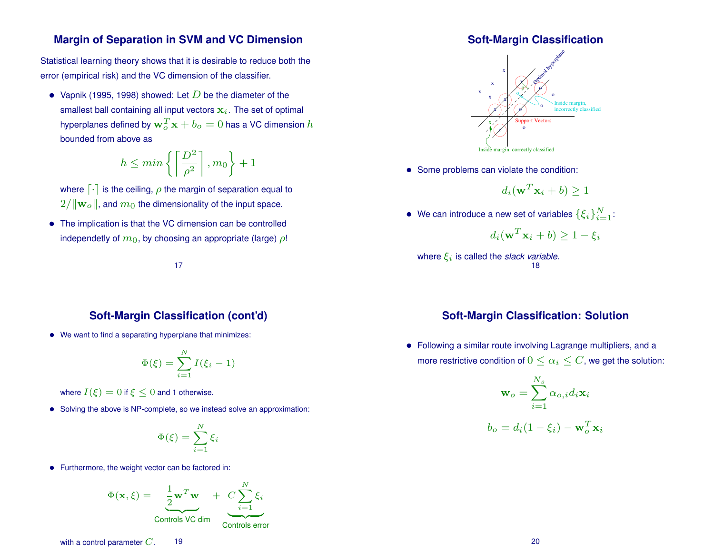#### **Margin of Separation in SVM and VC Dimension**

Statistical learning theory shows that it is desirable to reduce both the error (empirical risk) and the VC dimension of the classifier.

• Vapnik (1995, 1998) showed: Let  $D$  be the diameter of the smallest ball containing all input vectors  $x_i$ . The set of optimal hyperplanes defined by  $\mathbf{w}_o^T\mathbf{x}+b_o=0$  has a VC dimension  $h$ bounded from above as

$$
h \le \min\left\{ \left\lceil \frac{D^2}{\rho^2} \right\rceil, m_0 \right\} + 1
$$

where  $\lceil \cdot \rceil$  is the ceiling,  $\rho$  the margin of separation equal to  $2/\|\mathbf{w}_o\|$ , and  $m_0$  the dimensionality of the input space.

• The implication is that the VC dimension can be controlled independetly of  $m_0$ , by choosing an appropriate (large)  $\rho$ !

#### 17

#### **Soft-Margin Classification (cont'd)**

• We want to find a separating hyperplane that minimizes:

$$
\Phi(\xi) = \sum_{i=1}^{N} I(\xi_i - 1)
$$

where  $I(\xi) = 0$  if  $\xi \leq 0$  and 1 otherwise.

• Solving the above is NP-complete, so we instead solve an approximation:

$$
\Phi(\xi)=\sum_{i=1}^N \xi_i
$$

• Furthermore, the weight vector can be factored in:

$$
\Phi(\mathbf{x}, \xi) = \underbrace{\frac{1}{2} \mathbf{w}^T \mathbf{w}}_{\text{Controls VC dim}} + \underbrace{C \sum_{i=1}^N \xi_i}_{\text{Controls error}}
$$

#### **Soft-Margin Classification**



• Some problems can violate the condition:

$$
d_i(\mathbf{w}^T \mathbf{x}_i + b) \ge 1
$$

• We can introduce a new set of variables  $\{\xi_i\}_{i=1}^N$ :

$$
d_i(\mathbf{w}^T \mathbf{x}_i + b) \ge 1 - \xi_i
$$

where  $\xi_i$  is called the *slack variable*. 18

#### **Soft-Margin Classification: Solution**

• Following a similar route involving Lagrange multipliers, and a more restrictive condition of  $0 \leq \alpha_i \leq C$ , we get the solution:

$$
\mathbf{w}_o = \sum_{i=1}^{N_s} \alpha_{o,i} d_i \mathbf{x}_i
$$

$$
b_o = d_i (1 - \xi_i) - \mathbf{w}_o^T \mathbf{x}_i
$$

with a control parameter  $C.$  19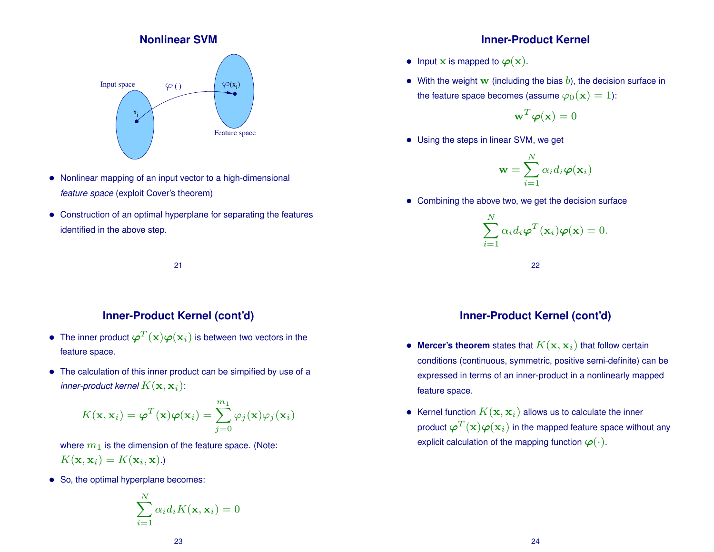#### **Nonlinear SVM**



- Nonlinear mapping of an input vector to a high-dimensional *feature space* (exploit Cover's theorem)
- Construction of an optimal hyperplane for separating the features identified in the above step.

21

#### **Inner-Product Kernel (cont'd)**

- $\bullet~$  The inner product  $\boldsymbol{\varphi}^T(\mathbf{x})\boldsymbol{\varphi}(\mathbf{x}_i)$  is between two vectors in the feature space.
- The calculation of this inner product can be simpified by use of a inner-product kernel  $K(\mathbf{x},\mathbf{x}_i)$ :

$$
K(\mathbf{x}, \mathbf{x}_i) = \boldsymbol{\varphi}^T(\mathbf{x}) \boldsymbol{\varphi}(\mathbf{x}_i) = \sum_{j=0}^{m_1} \varphi_j(\mathbf{x}) \varphi_j(\mathbf{x}_i)
$$

where  $m_1$  is the dimension of the feature space. (Note:  $K(\mathbf{x}, \mathbf{x}_i) = K(\mathbf{x}_i, \mathbf{x}).$ 

• So, the optimal hyperplane becomes:

$$
\sum_{i=1}^{N} \alpha_i d_i K(\mathbf{x}, \mathbf{x}_i) = 0
$$

#### **Inner-Product Kernel**

- Input  $x$  is mapped to  $\varphi(x)$ .
- With the weight w (including the bias  $b$ ), the decision surface in the feature space becomes (assume  $\varphi_0(\mathbf{x}) = 1$ ):

$$
\mathbf{w}^T\boldsymbol{\varphi}(\mathbf{x})=0
$$

• Using the steps in linear SVM, we get

$$
\mathbf{w} = \sum_{i=1}^{N} \alpha_i d_i \boldsymbol{\varphi}(\mathbf{x}_i)
$$

• Combining the above two, we get the decision surface

$$
\sum_{i=1}^{N} \alpha_i d_i \boldsymbol{\varphi}^T(\mathbf{x}_i) \boldsymbol{\varphi}(\mathbf{x}) = 0.
$$

22

#### **Inner-Product Kernel (cont'd)**

- $\bullet$  Mercer's theorem states that  $K(\mathbf{x}, \mathbf{x}_i)$  that follow certain conditions (continuous, symmetric, positive semi-definite) can be expressed in terms of an inner-product in a nonlinearly mapped feature space.
- Kernel function  $K(\mathbf{x},\mathbf{x}_i)$  allows us to calculate the inner product  $\boldsymbol{\varphi}^T(\mathbf{x})\boldsymbol{\varphi}(\mathbf{x}_i)$  in the mapped feature space without any explicit calculation of the mapping function  $\varphi(\cdot)$ .